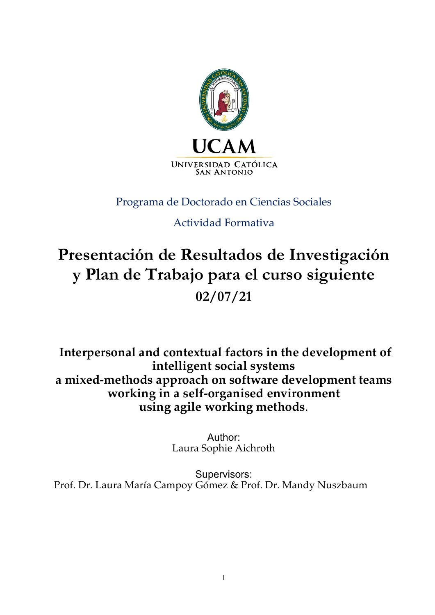

# Programa de Doctorado en Ciencias Sociales

# Actividad Formativa

# **Presentación de Resultados de Investigación y Plan de Trabajo para el curso siguiente 02/07/21**

**Interpersonal and contextual factors in the development of intelligent social systems a mixed-methods approach on software development teams working in a self-organised environment using agile working methods**.

> Author: Laura Sophie Aichroth

Supervisors: Prof. Dr. Laura María Campoy Gómez & Prof. Dr. Mandy Nuszbaum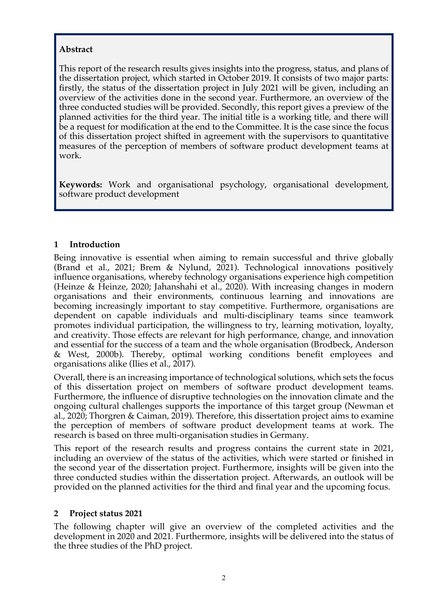# **Abstract**

This report of the research results gives insights into the progress, status, and plans of the dissertation project, which started in October 2019. It consists of two major parts: firstly, the status of the dissertation project in July 2021 will be given, including an overview of the activities done in the second year. Furthermore, an overview of the three conducted studies will be provided. Secondly, this report gives a preview of the planned activities for the third year. The initial title is a working title, and there will be a request for modification at the end to the Committee. It is the case since the focus of this dissertation project shifted in agreement with the supervisors to quantitative measures of the perception of members of software product development teams at work.

**Keywords:** Work and organisational psychology, organisational development, software product development

## **1 Introduction**

Being innovative is essential when aiming to remain successful and thrive globally (Brand et al., 2021; Brem & Nylund, 2021). Technological innovations positively influence organisations, whereby technology organisations experience high competition (Heinze & Heinze, 2020; Jahanshahi et al., 2020). With increasing changes in modern organisations and their environments, continuous learning and innovations are becoming increasingly important to stay competitive. Furthermore, organisations are dependent on capable individuals and multi-disciplinary teams since teamwork promotes individual participation, the willingness to try, learning motivation, loyalty, and creativity. Those effects are relevant for high performance, change, and innovation and essential for the success of a team and the whole organisation (Brodbeck, Anderson & West, 2000b). Thereby, optimal working conditions benefit employees and organisations alike (Ilies et al., 2017).

Overall, there is an increasing importance of technological solutions, which sets the focus of this dissertation project on members of software product development teams. Furthermore, the influence of disruptive technologies on the innovation climate and the ongoing cultural challenges supports the importance of this target group (Newman et al., 2020; Thorgren & Caiman, 2019). Therefore, this dissertation project aims to examine the perception of members of software product development teams at work. The research is based on three multi-organisation studies in Germany.

This report of the research results and progress contains the current state in 2021, including an overview of the status of the activities, which were started or finished in the second year of the dissertation project. Furthermore, insights will be given into the three conducted studies within the dissertation project. Afterwards, an outlook will be provided on the planned activities for the third and final year and the upcoming focus.

#### **2 Project status 2021**

The following chapter will give an overview of the completed activities and the development in 2020 and 2021. Furthermore, insights will be delivered into the status of the three studies of the PhD project.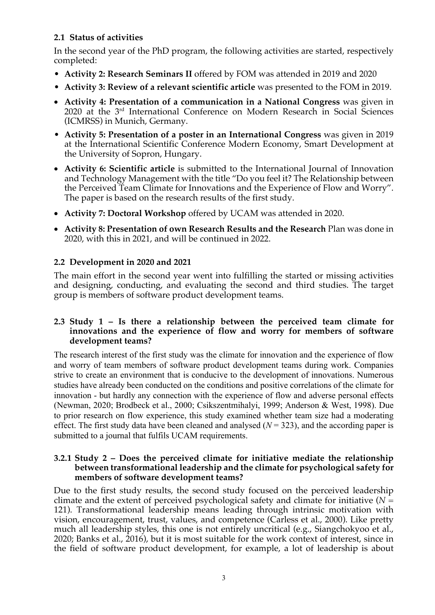# **2.1 Status of activities**

In the second year of the PhD program, the following activities are started, respectively completed:

- **Activity 2: Research Seminars II** offered by FOM was attended in 2019 and 2020
- **Activity 3: Review of a relevant scientific article** was presented to the FOM in 2019.
- **Activity 4: Presentation of a communication in a National Congress** was given in 2020 at the 3rd International Conference on Modern Research in Social Sciences (ICMRSS) in Munich, Germany.
- **Activity 5: Presentation of a poster in an International Congress** was given in 2019 at the International Scientific Conference Modern Economy, Smart Development at the University of Sopron, Hungary.
- **Activity 6: Scientific article** is submitted to the International Journal of Innovation and Technology Management with the title "Do you feel it? The Relationship between the Perceived Team Climate for Innovations and the Experience of Flow and Worry". The paper is based on the research results of the first study.
- **Activity 7: Doctoral Workshop** offered by UCAM was attended in 2020.
- **Activity 8: Presentation of own Research Results and the Research** Plan was done in 2020, with this in 2021, and will be continued in 2022.

# **2.2 Development in 2020 and 2021**

The main effort in the second year went into fulfilling the started or missing activities and designing, conducting, and evaluating the second and third studies. The target group is members of software product development teams.

#### **2.3 Study 1 – Is there a relationship between the perceived team climate for innovations and the experience of flow and worry for members of software development teams?**

The research interest of the first study was the climate for innovation and the experience of flow and worry of team members of software product development teams during work. Companies strive to create an environment that is conducive to the development of innovations. Numerous studies have already been conducted on the conditions and positive correlations of the climate for innovation - but hardly any connection with the experience of flow and adverse personal effects (Newman, 2020; Brodbeck et al., 2000; Csikszentmihalyi, 1999; Anderson & West, 1998). Due to prior research on flow experience, this study examined whether team size had a moderating effect. The first study data have been cleaned and analysed  $(N = 323)$ , and the according paper is submitted to a journal that fulfils UCAM requirements.

#### **3.2.1 Study 2 – Does the perceived climate for initiative mediate the relationship between transformational leadership and the climate for psychological safety for members of software development teams?**

Due to the first study results, the second study focused on the perceived leadership climate and the extent of perceived psychological safety and climate for initiative  $(N =$ 121). Transformational leadership means leading through intrinsic motivation with vision, encouragement, trust, values, and competence (Carless et al., 2000). Like pretty much all leadership styles, this one is not entirely uncritical (e.g., Siangchokyoo et al., 2020; Banks et al., 2016), but it is most suitable for the work context of interest, since in the field of software product development, for example, a lot of leadership is about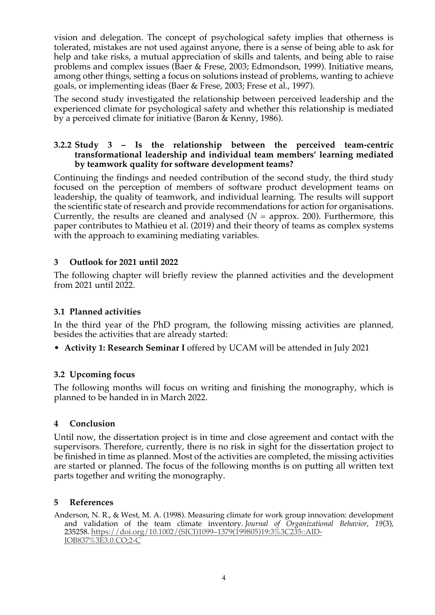vision and delegation. The concept of psychological safety implies that otherness is tolerated, mistakes are not used against anyone, there is a sense of being able to ask for help and take risks, a mutual appreciation of skills and talents, and being able to raise problems and complex issues (Baer & Frese, 2003; Edmondson, 1999). Initiative means, among other things, setting a focus on solutions instead of problems, wanting to achieve goals, or implementing ideas (Baer & Frese, 2003; Frese et al., 1997).

The second study investigated the relationship between perceived leadership and the experienced climate for psychological safety and whether this relationship is mediated by a perceived climate for initiative (Baron & Kenny, 1986).

#### **3.2.2 Study 3 – Is the relationship between the perceived team-centric transformational leadership and individual team members' learning mediated by teamwork quality for software development teams?**

Continuing the findings and needed contribution of the second study, the third study focused on the perception of members of software product development teams on leadership, the quality of teamwork, and individual learning. The results will support the scientific state of research and provide recommendations for action for organisations. Currently, the results are cleaned and analysed  $(N =$  approx. 200). Furthermore, this paper contributes to Mathieu et al. (2019) and their theory of teams as complex systems with the approach to examining mediating variables.

## **3 Outlook for 2021 until 2022**

The following chapter will briefly review the planned activities and the development from 2021 until 2022.

# **3.1 Planned activities**

In the third year of the PhD program, the following missing activities are planned, besides the activities that are already started:

• **Activity 1: Research Seminar I** offered by UCAM will be attended in July 2021

#### **3.2 Upcoming focus**

The following months will focus on writing and finishing the monography, which is planned to be handed in in March 2022.

#### **4 Conclusion**

Until now, the dissertation project is in time and close agreement and contact with the supervisors. Therefore, currently, there is no risk in sight for the dissertation project to be finished in time as planned. Most of the activities are completed, the missing activities are started or planned. The focus of the following months is on putting all written text parts together and writing the monography.

#### **5 References**

Anderson, N. R., & West, M. A. (1998). Measuring climate for work group innovation: development and validation of the team climate inventory. *Journal of Organizational Behavior*, *19*(3), 235258. https://doi.org/10.1002/(SICI)1099–1379(199805)19:3%3C235::AID-JOB837%3E3.0.CO;2-C